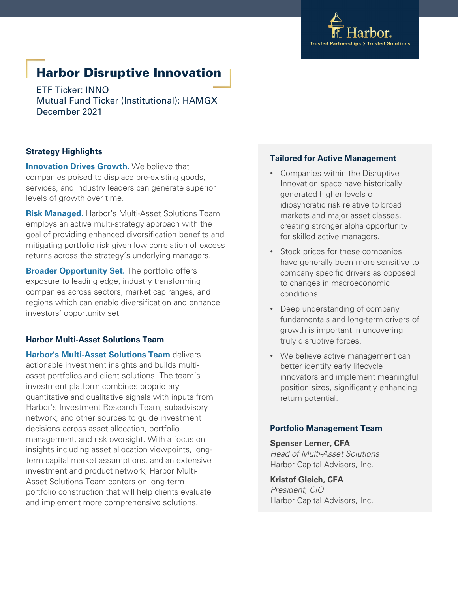

# Harbor Disruptive Innovation

ETF Ticker: INNO Mutual Fund Ticker (Institutional): HAMGX December 2021

# **Strategy Highlights**

**Innovation Drives Growth.** We believe that companies poised to displace pre-existing goods, services, and industry leaders can generate superior levels of growth over time.

**Risk Managed.** Harbor's Multi-Asset Solutions Team employs an active multi-strategy approach with the goal of providing enhanced diversification benefits and mitigating portfolio risk given low correlation of excess returns across the strategy's underlying managers.

**Broader Opportunity Set.** The portfolio offers exposure to leading edge, industry transforming companies across sectors, market cap ranges, and regions which can enable diversification and enhance investors' opportunity set.

# **Harbor Multi-Asset Solutions Team**

**Harbor's Multi-Asset Solutions Team** delivers actionable investment insights and builds multiasset portfolios and client solutions. The team's investment platform combines proprietary quantitative and qualitative signals with inputs from Harbor's Investment Research Team, subadvisory network, and other sources to guide investment decisions across asset allocation, portfolio management, and risk oversight. With a focus on insights including asset allocation viewpoints, longterm capital market assumptions, and an extensive investment and product network, Harbor Multi-Asset Solutions Team centers on long-term portfolio construction that will help clients evaluate and implement more comprehensive solutions.

# **Tailored for Active Management**

- Companies within the Disruptive Innovation space have historically generated higher levels of idiosyncratic risk relative to broad markets and major asset classes, creating stronger alpha opportunity for skilled active managers.
- Stock prices for these companies have generally been more sensitive to company specific drivers as opposed to changes in macroeconomic conditions.
- Deep understanding of company fundamentals and long-term drivers of growth is important in uncovering truly disruptive forces.
- We believe active management can better identify early lifecycle innovators and implement meaningful position sizes, significantly enhancing return potential.

# **Portfolio Management Team**

## **Spenser Lerner, CFA** *Head of Multi-Asset Solutions* Harbor Capital Advisors, Inc.

**Kristof Gleich, CFA** *President, CIO* Harbor Capital Advisors, Inc.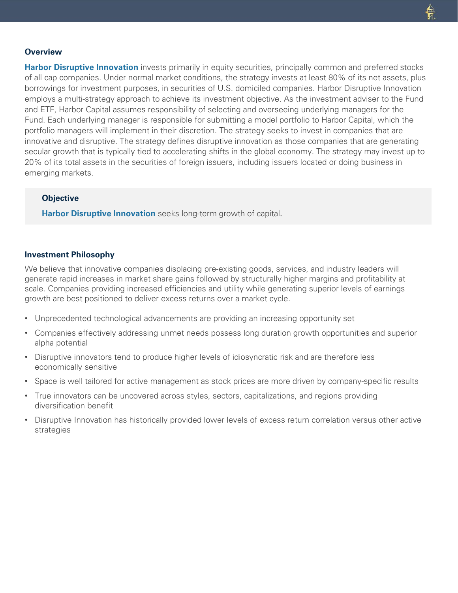#### **Overview**

**Harbor Disruptive Innovation** invests primarily in equity securities, principally common and preferred stocks of all cap companies. Under normal market conditions, the strategy invests at least 80% of its net assets, plus borrowings for investment purposes, in securities of U.S. domiciled companies. Harbor Disruptive Innovation employs a multi-strategy approach to achieve its investment objective. As the investment adviser to the Fund and ETF, Harbor Capital assumes responsibility of selecting and overseeing underlying managers for the Fund. Each underlying manager is responsible for submitting a model portfolio to Harbor Capital, which the portfolio managers will implement in their discretion. The strategy seeks to invest in companies that are innovative and disruptive. The strategy defines disruptive innovation as those companies that are generating secular growth that is typically tied to accelerating shifts in the global economy. The strategy may invest up to 20% of its total assets in the securities of foreign issuers, including issuers located or doing business in emerging markets.

#### **Objective**

**Harbor Disruptive Innovation** seeks long-term growth of capital.

#### **Investment Philosophy**

We believe that innovative companies displacing pre-existing goods, services, and industry leaders will generate rapid increases in market share gains followed by structurally higher margins and profitability at scale. Companies providing increased efficiencies and utility while generating superior levels of earnings growth are best positioned to deliver excess returns over a market cycle.

- Unprecedented technological advancements are providing an increasing opportunity set
- Companies effectively addressing unmet needs possess long duration growth opportunities and superior alpha potential
- Disruptive innovators tend to produce higher levels of idiosyncratic risk and are therefore less economically sensitive
- Space is well tailored for active management as stock prices are more driven by company-specific results
- True innovators can be uncovered across styles, sectors, capitalizations, and regions providing diversification benefit
- Disruptive Innovation has historically provided lower levels of excess return correlation versus other active strategies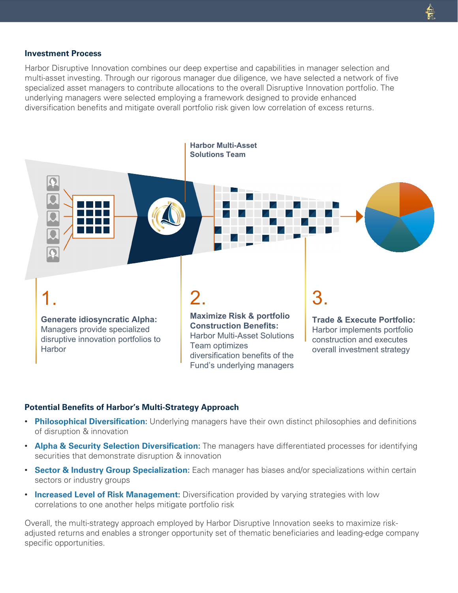#### **Investment Process**

Harbor Disruptive Innovation combines our deep expertise and capabilities in manager selection and multi-asset investing. Through our rigorous manager due diligence, we have selected a network of five specialized asset managers to contribute allocations to the overall Disruptive Innovation portfolio. The underlying managers were selected employing a framework designed to provide enhanced diversification benefits and mitigate overall portfolio risk given low correlation of excess returns.



### **Potential Benefits of Harbor's Multi-Strategy Approach**

- **Philosophical Diversification:** Underlying managers have their own distinct philosophies and definitions of disruption & innovation
- **Alpha & Security Selection Diversification:** The managers have differentiated processes for identifying securities that demonstrate disruption & innovation
- **Sector & Industry Group Specialization:** Each manager has biases and/or specializations within certain sectors or industry groups
- **Increased Level of Risk Management:** Diversification provided by varying strategies with low correlations to one another helps mitigate portfolio risk

Overall, the multi-strategy approach employed by Harbor Disruptive Innovation seeks to maximize riskadjusted returns and enables a stronger opportunity set of thematic beneficiaries and leading-edge company specific opportunities.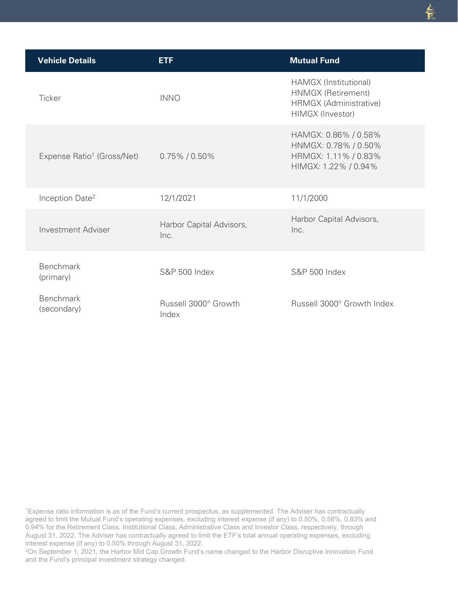| <b>Vehicle Details</b>                 | <b>ETF</b>                                | <b>Mutual Fund</b>                                                                           |
|----------------------------------------|-------------------------------------------|----------------------------------------------------------------------------------------------|
| Ticker                                 | <b>INNO</b>                               | HAMGX (Institutional)<br>HNMGX (Retirement)<br>HRMGX (Administrative)<br>HIMGX (Investor)    |
| Expense Ratio <sup>1</sup> (Gross/Net) | $0.75\%$ / $0.50\%$                       | HAMGX: 0.86% / 0.58%<br>HNMGX: 0.78% / 0.50%<br>HRMGX: 1.11% / 0.83%<br>HIMGX: 1.22% / 0.94% |
| Inception Date <sup>2</sup>            | 12/1/2021                                 | 11/1/2000                                                                                    |
| Investment Adviser                     | Harbor Capital Advisors,<br>Inc.          | Harbor Capital Advisors,<br>Inc.                                                             |
| <b>Benchmark</b><br>(primary)          | <b>S&amp;P 500 Index</b>                  | <b>S&amp;P 500 Index</b>                                                                     |
| <b>Benchmark</b><br>(secondary)        | Russell 3000 <sup>®</sup> Growth<br>Index | Russell 3000 <sup>®</sup> Growth Index                                                       |

1Expense ratio information is as of the Fund's current prospectus, as supplemented. The Adviser has contractually agreed to limit the Mutual Fund's operating expenses, excluding interest expense (if any) to 0.50%, 0.58%, 0.83% and 0.94% for the Retirement Class, Institutional Class, Administrative Class and Investor Class, respectively, through August 31, 2022. The Adviser has contractually agreed to limit the ETF's total annual operating expenses, excluding interest expense (if any) to 0.50% through August 31, 2022.

2On September 1, 2021, the Harbor Mid Cap Growth Fund's name changed to the Harbor Disruptive Innovation Fund and the Fund's principal investment strategy changed.